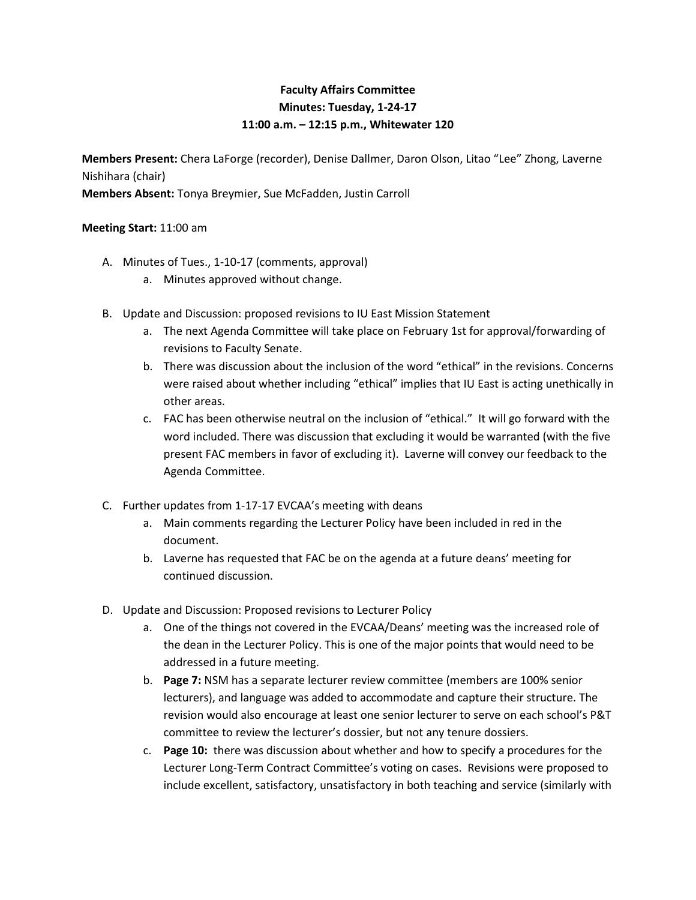## **Faculty Affairs Committee Minutes: Tuesday, 1-24-17 11:00 a.m. – 12:15 p.m., Whitewater 120**

**Members Present:** Chera LaForge (recorder), Denise Dallmer, Daron Olson, Litao "Lee" Zhong, Laverne Nishihara (chair) **Members Absent:** Tonya Breymier, Sue McFadden, Justin Carroll

## **Meeting Start:** 11:00 am

- A. Minutes of Tues., 1-10-17 (comments, approval)
	- a. Minutes approved without change.
- B. Update and Discussion: proposed revisions to IU East Mission Statement
	- a. The next Agenda Committee will take place on February 1st for approval/forwarding of revisions to Faculty Senate.
	- b. There was discussion about the inclusion of the word "ethical" in the revisions. Concerns were raised about whether including "ethical" implies that IU East is acting unethically in other areas.
	- c. FAC has been otherwise neutral on the inclusion of "ethical." It will go forward with the word included. There was discussion that excluding it would be warranted (with the five present FAC members in favor of excluding it). Laverne will convey our feedback to the Agenda Committee.
- C. Further updates from 1-17-17 EVCAA's meeting with deans
	- a. Main comments regarding the Lecturer Policy have been included in red in the document.
	- b. Laverne has requested that FAC be on the agenda at a future deans' meeting for continued discussion.
- D. Update and Discussion: Proposed revisions to Lecturer Policy
	- a. One of the things not covered in the EVCAA/Deans' meeting was the increased role of the dean in the Lecturer Policy. This is one of the major points that would need to be addressed in a future meeting.
	- b. **Page 7:** NSM has a separate lecturer review committee (members are 100% senior lecturers), and language was added to accommodate and capture their structure. The revision would also encourage at least one senior lecturer to serve on each school's P&T committee to review the lecturer's dossier, but not any tenure dossiers.
	- c. **Page 10:** there was discussion about whether and how to specify a procedures for the Lecturer Long-Term Contract Committee's voting on cases. Revisions were proposed to include excellent, satisfactory, unsatisfactory in both teaching and service (similarly with